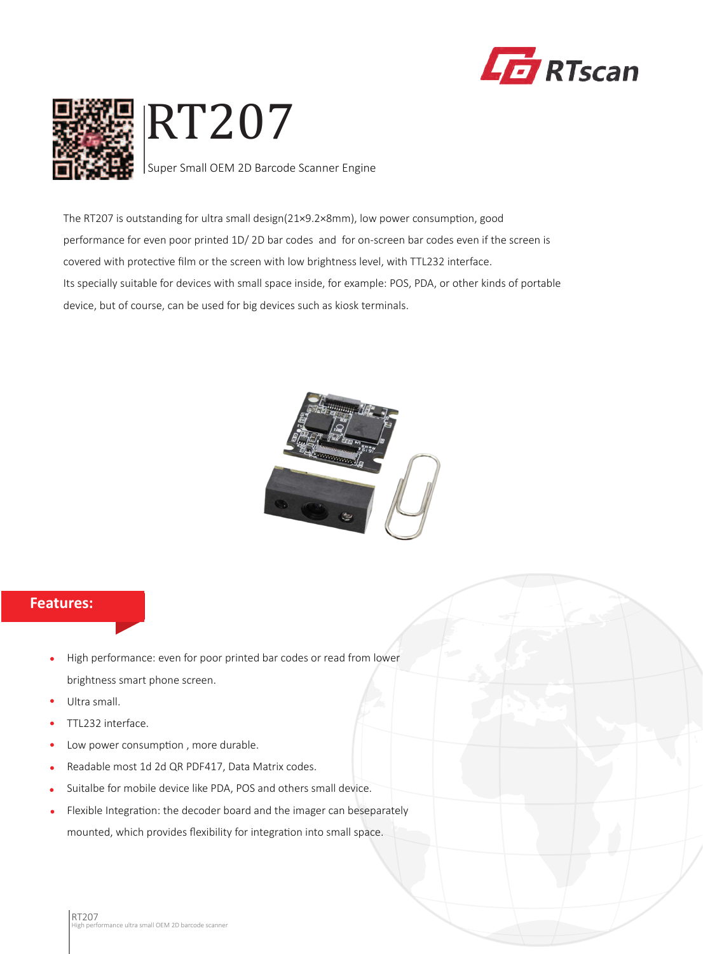



The RT207 is outstanding for ultra small design(21×9.2×8mm), low power consumption, good performance for even poor printed 1D/ 2D bar codes and for on-screen bar codes even if the screen is covered with protective film or the screen with low brightness level, with TTL232 interface. Its specially suitable for devices with small space inside, for example: POS, PDA, or other kinds of portable device, but of course, can be used for big devices such as kiosk terminals.



## **Features:**

- High performance: even for poor printed bar codes or read from lower brightness smart phone screen.
- Ultra small.
- TTL232 interface.
- Low power consumption , more durable.  $\bullet$
- Readable most 1d 2d QR PDF417, Data Matrix codes.
- Suitalbe for mobile device like PDA, POS and others small device.
- Flexible Integration: the decoder board and the imager can beseparately mounted, which provides flexibility for integration into small space.